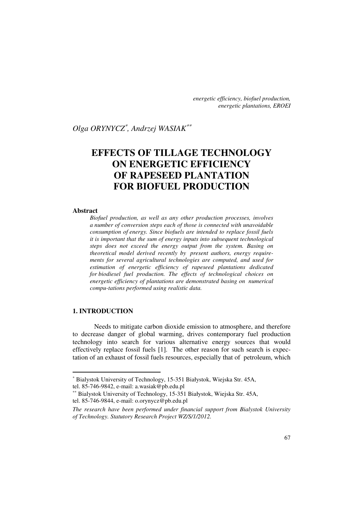*energetic efficiency, biofuel production, energetic plantations, EROEI* 

*Olga ORYNYCZ*<sup>∗</sup> *, Andrzej WASIAK*∗∗

# **EFFECTS OF TILLAGE TECHNOLOGY ON ENERGETIC EFFICIENCY OF RAPESEED PLANTATION FOR BIOFUEL PRODUCTION**

#### **Abstract**

*Biofuel production, as well as any other production processes, involves a number of conversion steps each of those is connected with unavoidable consumption of energy. Since biofuels are intended to replace fossil fuels it is important that the sum of energy inputs into subsequent technological steps does not exceed the energy output from the system. Basing on theoretical model derived recently by present authors, energy requirements for several agricultural technologies are computed, and used for estimation of energetic efficiency of rapeseed plantations dedicated for biodiesel fuel production. The effects of technological choices on energetic efficiency of plantations are demonstrated basing on numerical compu-tations performed using realistic data.* 

# **1. INTRODUCTION**

Needs to mitigate carbon dioxide emission to atmosphere, and therefore to decrease danger of global warming, drives contemporary fuel production technology into search for various alternative energy sources that would effectively replace fossil fuels [1]. The other reason for such search is expectation of an exhaust of fossil fuels resources, especially that of petroleum, which

<sup>∗</sup> Bialystok University of Technology, 15-351 Białystok, Wiejska Str. 45A,

tel. 85-746-9842, e-mail: a.wasiak@pb.edu.pl

<sup>∗∗</sup> Bialystok University of Technology, 15-351 Białystok, Wiejska Str. 45A, tel. 85-746-9844, e-mail: o.orynycz@pb.edu.pl

*The research have been performed under financial support from Bialystok University of Technology. Statutory Research Project WZ/S/1/2012.*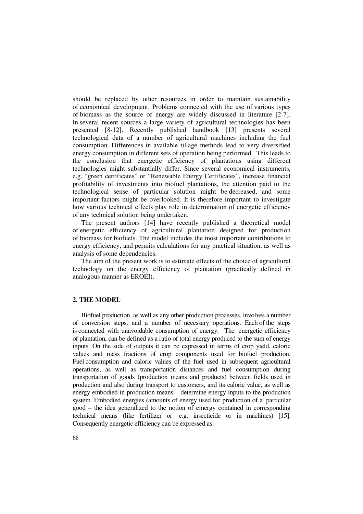should be replaced by other resources in order to maintain sustainability of economical development. Problems connected with the use of various types of biomass as the source of energy are widely discussed in literature [2-7]. In several recent sources a large variety of agricultural technologies has been presented [8-12]. Recently published handbook [13] presents several technological data of a number of agricultural machines including the fuel consumption. Differences in available tillage methods lead to very diversified energy consumption in different sets of operation being performed. This leads to the conclusion that energetic efficiency of plantations using different technologies might substantially differ. Since several economical instruments, e.g. "green certificates" or "Renewable Energy Certificates", increase financial profitability of investments into biofuel plantations, the attention paid to the technological sense of particular solution might be decreased, and some important factors might be overlooked. It is therefore important to investigate how various technical effects play role in determination of energetic efficiency of any technical solution being undertaken.

The present authors [14] have recently published a theoretical model of energetic efficiency of agricultural plantation designed for production of biomass for biofuels. The model includes the most important contributions to energy efficiency, and permits calculations for any practical situation, as well as analysis of some dependencies.

The aim of the present work is to estimate effects of the choice of agricultural technology on the energy efficiency of plantation (practically defined in analogous manner as EROEI).

### **2. THE MODEL**

Biofuel production, as well as any other production processes, involves a number of conversion steps, and a number of necessary operations. Each of the steps is connected with unavoidable consumption of energy. The energetic efficiency of plantation, can be defined as a ratio of total energy produced to the sum of energy inputs. On the side of outputs it can be expressed in terms of crop yield, caloric values and mass fractions of crop components used for biofuel production. Fuel consumption and caloric values of the fuel used in subsequent agricultural operations, as well as transportation distances and fuel consumption during transportation of goods (production means and products) between fields used in production and also during transport to customers, and its caloric value, as well as energy embodied in production means – determine energy inputs to the production system. Embodied energies (amounts of energy used for production of a particular good – the idea generalized to the notion of emergy contained in corresponding technical means (like fertilizer or e.g. insecticide or in machines) [15]. Consequently energetic efficiency can be expressed as: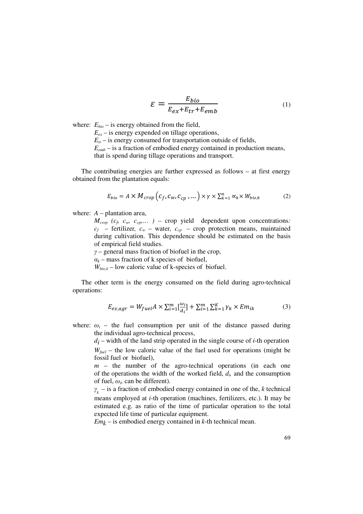$$
\varepsilon = \frac{E_{bio}}{E_{ex} + E_{tr} + E_{emb}}\tag{1}
$$

where:  $E_{bio}$  – is energy obtained from the field,

 $E_{ex}$  – is energy expended on tillage operations,

 $E<sub>tr</sub>$  – is energy consumed for transportation outside of fields,

 $E_{emb}$  – is a fraction of embodied energy contained in production means,

that is spend during tillage operations and transport.

The contributing energies are further expressed as follows – at first energy obtained from the plantation equals:

$$
E_{bio} = A \times M_{crop} \left( c_f, c_w, c_{cp} \right), \dots \right) \times \gamma \times \sum_{k=1}^n \alpha_k \times W_{bio,k}
$$
 (2)

where:  $A$  – plantation area,

 $M_{\text{crop}}$  ( $c_p$   $c_w$ ,  $c_{\text{c}p}$ ...) – crop yield dependent upon concentrations:  $c_f$  – fertilizer,  $c_w$  – water,  $c_{cp}$  – crop protection means, maintained during cultivation. This dependence should be estimated on the basis of empirical field studies.

*γ* – general mass fraction of biofuel in the crop,

 $\alpha_k$  – mass fraction of k species of biofuel,

 $W_{bio,k}$  – low caloric value of k-species of biofuel.

The other term is the energy consumed on the field during agro-technical operations:

$$
E_{ex,agr} = W_{fuel} A \times \sum_{i=1}^{m} [\frac{\omega_i}{d_i}] + \sum_{i=1}^{m} \sum_{k=1}^{K} \gamma_k \times Em_{ik}
$$
 (3)

where:  $\omega_i$  – the fuel consumption per unit of the distance passed during the individual agro-technical process,

 $d_i$  – width of the land strip operated in the single course of  $i$ -th operation  $W_{\text{fuel}}$  – the low caloric value of the fuel used for operations (might be fossil fuel or biofuel),

*m* – the number of the agro-technical operations (in each one of the operations the width of the worked field,  $d_i$  and the consumption of fuel,  $\omega_i$  can be different).

 $\gamma_k$  – is a fraction of embodied energy contained in one of the, *k* technical means employed at *i*-th operation (machines, fertilizers, etc.). It may be estimated e.g. as ratio of the time of particular operation to the total expected life time of particular equipment.

*Emk* – is embodied energy contained in *k*-th technical mean.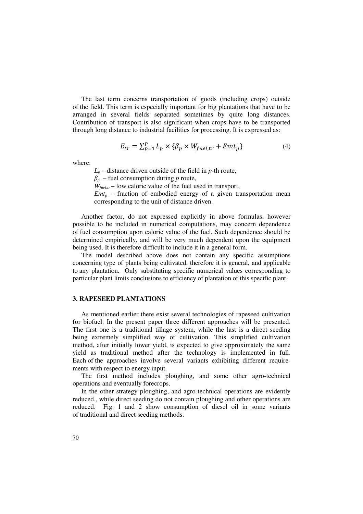The last term concerns transportation of goods (including crops) outside of the field. This term is especially important for big plantations that have to be arranged in several fields separated sometimes by quite long distances. Contribution of transport is also significant when crops have to be transported through long distance to industrial facilities for processing. It is expressed as:

$$
E_{tr} = \sum_{p=1}^{P} L_p \times \{\beta_p \times W_{fuel,tr} + Emt_p\}
$$
 (4)

where:

 $L_p$  – distance driven outside of the field in *p*-th route,

 $\beta_p$  – fuel consumption during *p* route,

 $W_{\text{fuel,tr}}$  – low caloric value of the fuel used in transport,

 $Emt_p$  – fraction of embodied energy of a given transportation mean corresponding to the unit of distance driven.

Another factor, do not expressed explicitly in above formulas, however possible to be included in numerical computations, may concern dependence of fuel consumption upon caloric value of the fuel. Such dependence should be determined empirically, and will be very much dependent upon the equipment being used. It is therefore difficult to include it in a general form.

The model described above does not contain any specific assumptions concerning type of plants being cultivated, therefore it is general, and applicable to any plantation. Only substituting specific numerical values corresponding to particular plant limits conclusions to efficiency of plantation of this specific plant.

## **3. RAPESEED PLANTATIONS**

As mentioned earlier there exist several technologies of rapeseed cultivation for biofuel. In the present paper three different approaches will be presented. The first one is a traditional tillage system, while the last is a direct seeding being extremely simplified way of cultivation. This simplified cultivation method, after initially lower yield, is expected to give approximately the same yield as traditional method after the technology is implemented in full. Each of the approaches involve several variants exhibiting different requirements with respect to energy input.

The first method includes ploughing, and some other agro-technical operations and eventually forecrops.

In the other strategy ploughing, and agro-technical operations are evidently reduced., while direct seeding do not contain ploughing and other operations are reduced. Fig. 1 and 2 show consumption of diesel oil in some variants of traditional and direct seeding methods.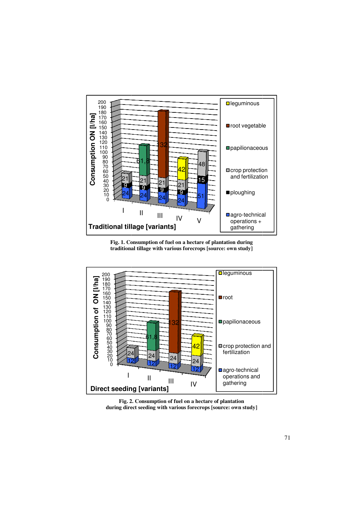

**Fig. 1. Consumption of fuel on a hectare of plantation during traditional tillage with various forecrops forecrops [source: own study]**



**Fig. 2. Consumption of fuel on a hectare of plantation during direct seeding with various forecrops forecrops [source: own study]**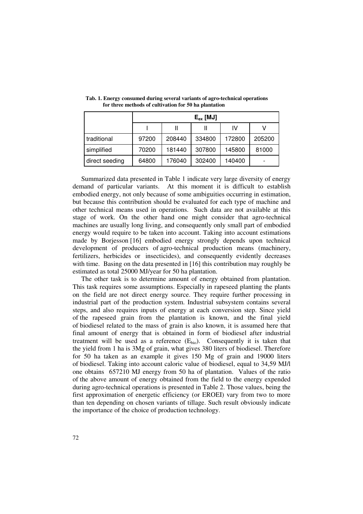|                | $E_{\rm ex}$ [MJ] |        |        |        |        |  |
|----------------|-------------------|--------|--------|--------|--------|--|
|                |                   |        |        | IV     |        |  |
| traditional    | 97200             | 208440 | 334800 | 172800 | 205200 |  |
| simplified     | 70200             | 181440 | 307800 | 145800 | 81000  |  |
| direct seeding | 64800             | 176040 | 302400 | 140400 |        |  |

**Tab. 1. Energy consumed during several variants of agro-technical operations for three methods of cultivation for 50 ha plantation** 

Summarized data presented in Table 1 indicate very large diversity of energy demand of particular variants. At this moment it is difficult to establish embodied energy, not only because of some ambiguities occurring in estimation, but because this contribution should be evaluated for each type of machine and other technical means used in operations. Such data are not available at this stage of work. On the other hand one might consider that agro-technical machines are usually long living, and consequently only small part of embodied energy would require to be taken into account. Taking into account estimations made by Borjesson [16] embodied energy strongly depends upon technical development of producers of agro-technical production means (machinery, fertilizers, herbicides or insecticides), and consequently evidently decreases with time. Basing on the data presented in [16] this contribution may roughly be estimated as total 25000 MJ/year for 50 ha plantation.

The other task is to determine amount of energy obtained from plantation. This task requires some assumptions. Especially in rapeseed planting the plants on the field are not direct energy source. They require further processing in industrial part of the production system. Industrial subsystem contains several steps, and also requires inputs of energy at each conversion step. Since yield of the rapeseed grain from the plantation is known, and the final yield of biodiesel related to the mass of grain is also known, it is assumed here that final amount of energy that is obtained in form of biodiesel after industrial treatment will be used as a reference  $(E_{bio})$ . Consequently it is taken that the yield from 1 ha is 3Mg of grain, what gives 380 liters of biodiesel. Therefore for 50 ha taken as an example it gives 150 Mg of grain and 19000 liters of biodiesel. Taking into account caloric value of biodiesel, equal to 34,59 MJ/l one obtains 657210 MJ energy from 50 ha of plantation. Values of the ratio of the above amount of energy obtained from the field to the energy expended during agro-technical operations is presented in Table 2. Those values, being the first approximation of energetic efficiency (or EROEI) vary from two to more than ten depending on chosen variants of tillage. Such result obviously indicate the importance of the choice of production technology.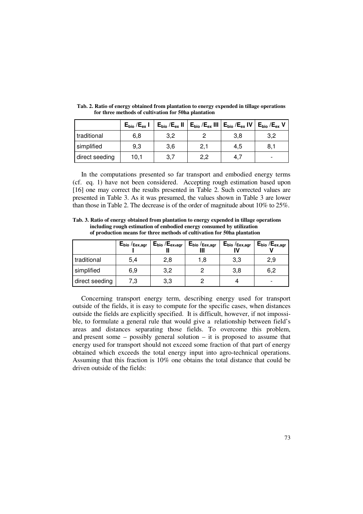|                | $E_{bio}$ / $E_{ex}$ I | $E_{bio}$ / $E_{ex}$ II | $E_{bio}$ / $E_{ex}$ III | $E_{bio}$ / $E_{ex}$ IV | $E_{bio}$ / $E_{ex}$ V   |
|----------------|------------------------|-------------------------|--------------------------|-------------------------|--------------------------|
| traditional    | 6,8                    | 3,2                     |                          | 3,8                     | 3,2                      |
| simplified     | 9,3                    | 3,6                     | 2,1                      | 4,5                     | 8,1                      |
| direct seeding | 10.1                   | 3,7                     | 2,2                      | 4.                      | $\overline{\phantom{0}}$ |

**Tab. 2. Ratio of energy obtained from plantation to energy expended in tillage operations for three methods of cultivation for 50ha plantation**

In the computations presented so far transport and embodied energy terms (cf. eq. 1) have not been considered. Accepting rough estimation based upon [16] one may correct the results presented in Table 2. Such corrected values are presented in Table 3. As it was presumed, the values shown in Table 3 are lower than those in Table 2. The decrease is of the order of magnitude about 10% to 25%.

**Tab. 3. Ratio of energy obtained from plantation to energy expended in tillage operations including rough estimation of embodied energy consumed by utilization of production means for three methods of cultivation for 50ha plantation**

|                | $\mathsf{E}_{\mathsf{bio}}$ / $_{\mathsf{Eex}, \mathsf{agr}}$ | $E_{bio} / E_{ex,agr}$<br>Ш | $\mathsf{E}_{\mathsf{bio}}$ / $_{\mathsf{Eex}, \mathsf{agr}}$<br>Ш | $E_{bio}/E_{ex,agr}$ | $E_{bio} / E_{ex,agr}$   |
|----------------|---------------------------------------------------------------|-----------------------------|--------------------------------------------------------------------|----------------------|--------------------------|
| traditional    | 5,4                                                           | 2,8                         | 1.8                                                                | 3,3                  | 2,9                      |
| simplified     | 6,9                                                           | 3,2                         |                                                                    | 3,8                  | 6,2                      |
| direct seeding | 7.3                                                           | 3,3                         |                                                                    |                      | $\overline{\phantom{0}}$ |

Concerning transport energy term, describing energy used for transport outside of the fields, it is easy to compute for the specific cases, when distances outside the fields are explicitly specified. It is difficult, however, if not impossible, to formulate a general rule that would give a relationship between field's areas and distances separating those fields. To overcome this problem, and present some – possibly general solution – it is proposed to assume that energy used for transport should not exceed some fraction of that part of energy obtained which exceeds the total energy input into agro-technical operations. Assuming that this fraction is 10% one obtains the total distance that could be driven outside of the fields: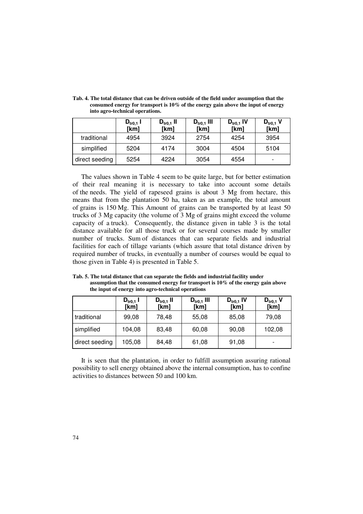|                | $D_{\text{tr0,1}}$ I<br>[km] | $D_{\text{tr}0,1}$ II<br>[km] | $D_{\text{tr0,1}}$ III<br>[km] | $D_{\text{tr}0,1}$ IV<br>[km] | $\mathsf{D}_\mathsf{tr0,1}$ V<br>[km] |
|----------------|------------------------------|-------------------------------|--------------------------------|-------------------------------|---------------------------------------|
| traditional    | 4954                         | 3924                          | 2754                           | 4254                          | 3954                                  |
| simplified     | 5204                         | 4174                          | 3004                           | 4504                          | 5104                                  |
| direct seeding | 5254                         | 4224                          | 3054                           | 4554                          |                                       |

**Tab. 4. The total distance that can be driven outside of the field under assumption that the consumed energy for transport is 10% of the energy gain above the input of energy into agro-technical operations.**

The values shown in Table 4 seem to be quite large, but for better estimation of their real meaning it is necessary to take into account some details of the needs. The yield of rapeseed grains is about 3 Mg from hectare, this means that from the plantation 50 ha, taken as an example, the total amount of grains is 150 Mg. This Amount of grains can be transported by at least 50 trucks of 3 Mg capacity (the volume of 3 Mg of grains might exceed the volume capacity of a truck). Consequently, the distance given in table 3 is the total distance available for all those truck or for several courses made by smaller number of trucks. Sum of distances that can separate fields and industrial facilities for each of tillage variants (which assure that total distance driven by required number of trucks, in eventually a number of courses would be equal to those given in Table 4) is presented in Table 5.

**Tab. 5. The total distance that can separate the fields and industrial facility under assumption that the consumed energy for transport is 10% of the energy gain above the input of energy into agro-technical operations**

|                | $D_{\text{tr0,1}}$ I<br>[km] | $D_{\text{tr}0,1}$ II<br>[km] | $D_{\text{tr0,1}}$ III<br>[km] | $D_{\text{tr}0,1}$ IV<br>[km] | $D_{\text{tr}0,1}$ V<br>[km] |
|----------------|------------------------------|-------------------------------|--------------------------------|-------------------------------|------------------------------|
| traditional    | 99,08                        | 78,48                         | 55,08                          | 85,08                         | 79,08                        |
| simplified     | 104,08                       | 83,48                         | 60,08                          | 90,08                         | 102,08                       |
| direct seeding | 105,08                       | 84,48                         | 61,08                          | 91,08                         |                              |

It is seen that the plantation, in order to fulfill assumption assuring rational possibility to sell energy obtained above the internal consumption, has to confine activities to distances between 50 and 100 km.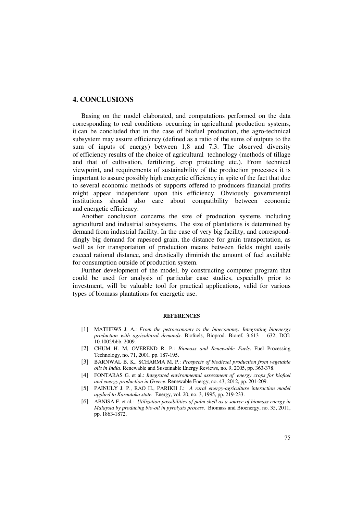# **4. CONCLUSIONS**

Basing on the model elaborated, and computations performed on the data corresponding to real conditions occurring in agricultural production systems, it can be concluded that in the case of biofuel production, the agro-technical subsystem may assure efficiency (defined as a ratio of the sums of outputs to the sum of inputs of energy) between 1,8 and 7,3. The observed diversity of efficiency results of the choice of agricultural technology (methods of tillage and that of cultivation, fertilizing, crop protecting etc.). From technical viewpoint, and requirements of sustainability of the production processes it is important to assure possibly high energetic efficiency in spite of the fact that due to several economic methods of supports offered to producers financial profits might appear independent upon this efficiency. Obviously governmental institutions should also care about compatibility between economic and energetic efficiency.

Another conclusion concerns the size of production systems including agricultural and industrial subsystems. The size of plantations is determined by demand from industrial facility. In the case of very big facility, and corresponddingly big demand for rapeseed grain, the distance for grain transportation, as well as for transportation of production means between fields might easily exceed rational distance, and drastically diminish the amount of fuel available for consumption outside of production system.

Further development of the model, by constructing computer program that could be used for analysis of particular case studies, especially prior to investment, will be valuable tool for practical applications, valid for various types of biomass plantations for energetic use.

#### **REFERENCES**

- [1] MATHEWS J. A.: *From the petroeconomy to the bioeconomy: Integrating bioenergy production with agricultural demands*. Biofuels, Bioprod. Bioref*.* 3:613 – 632, DOI: 10.1002/bbb, 2009.
- [2] CHUM H. M, OVEREND R. P.: *Biomass and Renewable Fuels*. Fuel Processing Technology, no. 71, 2001, pp. 187-195.
- [3] BARNWAL B. K., SCHARMA M. P.: *Prospects of biodiesel production from vegetable oils in India*. Renewable and Sustainable Energy Reviews, no. 9, 2005, pp. 363-378.
- [4] FONTARAS G. et al.: *Integrated environmental assessment of energy crops for biofuel and energy production in Greece*. Renewable Energy, no. 43, 2012, pp. 201-209.
- [5] PAINULY J. P., RAO H., PARIKH J.: *A rural energy-agriculture interaction model applied to Karnataka state.* Energy, vol. 20, no. 3, 1995, pp. 219-233.
- [6] ABNISA F. et al.: *Utilization possibilities of palm shell as a source of biomass energy in Malaysia by producing bio-oil in pyrolysis process*. Biomass and Bioenergy, no. 35, 2011, pp. 1863-1872.